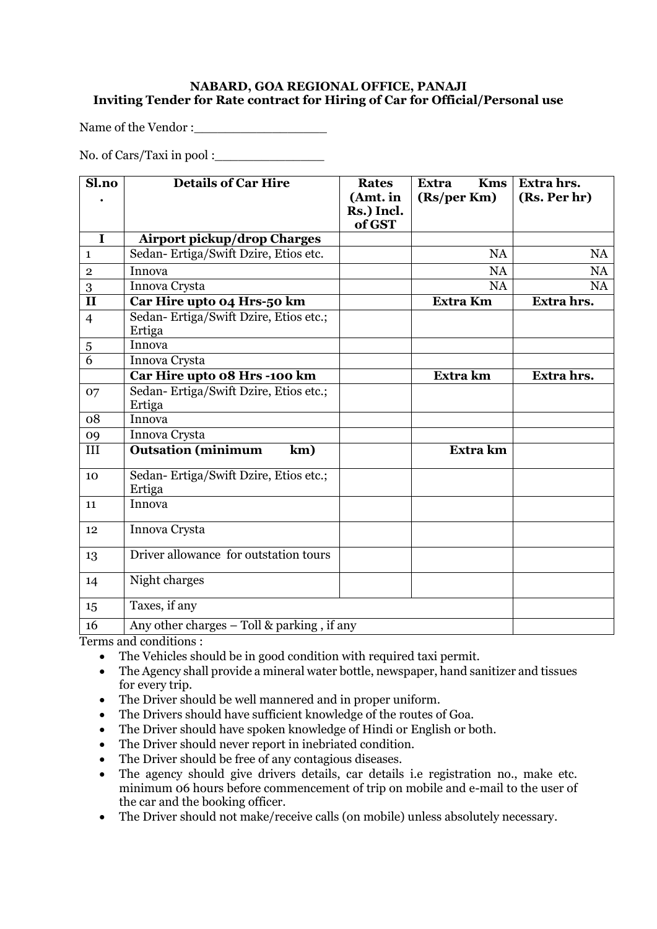## **NABARD, GOA REGIONAL OFFICE, PANAJI Inviting Tender for Rate contract for Hiring of Car for Official/Personal use**

Name of the Vendor :

No. of Cars/Taxi in pool :\_\_\_\_\_\_\_\_\_\_\_\_\_\_

| Sl.no                   | <b>Details of Car Hire</b>                      | <b>Rates</b><br>(Amt. in<br>Rs.) Incl.<br>of GST | <b>Kms</b><br><b>Extra</b><br>(Rs/per Km) | Extra hrs.<br>(Rs. Per hr) |
|-------------------------|-------------------------------------------------|--------------------------------------------------|-------------------------------------------|----------------------------|
| I                       | <b>Airport pickup/drop Charges</b>              |                                                  |                                           |                            |
| $\mathbf{1}$            | Sedan-Ertiga/Swift Dzire, Etios etc.            |                                                  | <b>NA</b>                                 | <b>NA</b>                  |
| $\sqrt{2}$              | Innova                                          |                                                  | <b>NA</b>                                 | <b>NA</b>                  |
| 3                       | Innova Crysta                                   |                                                  | <b>NA</b>                                 | <b>NA</b>                  |
| $\overline{\mathbf{H}}$ | Car Hire upto 04 Hrs-50 km                      |                                                  | <b>Extra Km</b>                           | Extra hrs.                 |
| $\overline{4}$          | Sedan-Ertiga/Swift Dzire, Etios etc.;<br>Ertiga |                                                  |                                           |                            |
| $\sqrt{5}$              | Innova                                          |                                                  |                                           |                            |
| 6                       | Innova Crysta                                   |                                                  |                                           |                            |
|                         | Car Hire upto 08 Hrs -100 km                    |                                                  | Extra km                                  | Extra hrs.                 |
| 07                      | Sedan-Ertiga/Swift Dzire, Etios etc.;<br>Ertiga |                                                  |                                           |                            |
| 08                      | Innova                                          |                                                  |                                           |                            |
| 09                      | Innova Crysta                                   |                                                  |                                           |                            |
| III                     | <b>Outsation</b> (minimum<br>km)                |                                                  | Extra km                                  |                            |
| 10                      | Sedan-Ertiga/Swift Dzire, Etios etc.;<br>Ertiga |                                                  |                                           |                            |
| 11                      | Innova                                          |                                                  |                                           |                            |
| 12                      | Innova Crysta                                   |                                                  |                                           |                            |
| 13                      | Driver allowance for outstation tours           |                                                  |                                           |                            |
| 14                      | Night charges                                   |                                                  |                                           |                            |
| 15                      | Taxes, if any                                   |                                                  |                                           |                            |
| 16                      | Any other charges - Toll & parking, if any      |                                                  |                                           |                            |

Terms and conditions :

- The Vehicles should be in good condition with required taxi permit.
- The Agency shall provide a mineral water bottle, newspaper, hand sanitizer and tissues for every trip.
- The Driver should be well mannered and in proper uniform.
- The Drivers should have sufficient knowledge of the routes of Goa.
- The Driver should have spoken knowledge of Hindi or English or both.
- The Driver should never report in inebriated condition.
- The Driver should be free of any contagious diseases.
- The agency should give drivers details, car details i.e registration no., make etc. minimum 06 hours before commencement of trip on mobile and e-mail to the user of the car and the booking officer.
- The Driver should not make/receive calls (on mobile) unless absolutely necessary.